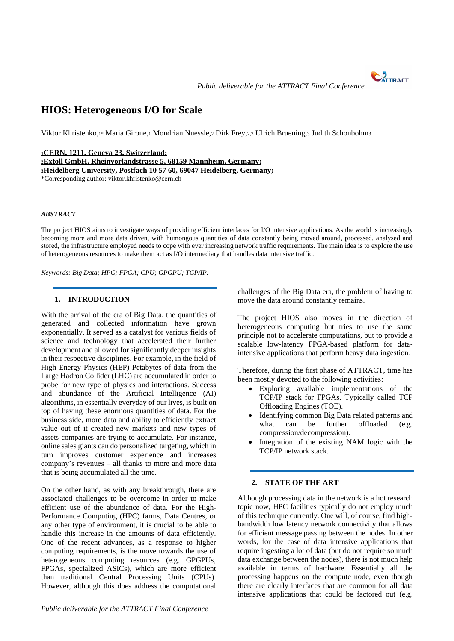**CATTRACT** 

# **HIOS: Heterogeneous I/O for Scale**

Viktor Khristenko,1\* Maria Girone,<sup>1</sup> Mondrian Nuessle,<sup>2</sup> Dirk Frey,2,3 Ulrich Bruening,<sup>3</sup> Judith Schonbohm<sup>3</sup>

**CERN, 1211, Geneva 23, Switzerland; Extoll GmbH, Rheinvorlandstrasse 5, 68159 Mannheim, Germany; Heidelberg University, Postfach 10 57 60, 69047 Heidelberg, Germany;**  \*Corresponding author: viktor.khristenko@cern.ch

## *ABSTRACT*

The project HIOS aims to investigate ways of providing efficient interfaces for I/O intensive applications. As the world is increasingly becoming more and more data driven, with humongous quantities of data constantly being moved around, processed, analysed and stored, the infrastructure employed needs to cope with ever increasing network traffic requirements. The main idea is to explore the use of heterogeneous resources to make them act as I/O intermediary that handles data intensive traffic.

*Keywords: Big Data; HPC; FPGA; CPU; GPGPU; TCP/IP.*

## **1. INTRODUCTION**

With the arrival of the era of Big Data, the quantities of generated and collected information have grown exponentially. It served as a catalyst for various fields of science and technology that accelerated their further development and allowed for significantly deeper insights in their respective disciplines. For example, in the field of High Energy Physics (HEP) Petabytes of data from the Large Hadron Collider (LHC) are accumulated in order to probe for new type of physics and interactions. Success and abundance of the Artificial Intelligence (AI) algorithms, in essentially everyday of our lives, is built on top of having these enormous quantities of data. For the business side, more data and ability to efficiently extract value out of it created new markets and new types of assets companies are trying to accumulate. For instance, online sales giants can do personalized targeting, which in turn improves customer experience and increases company's revenues – all thanks to more and more data that is being accumulated all the time.

On the other hand, as with any breakthrough, there are associated challenges to be overcome in order to make efficient use of the abundance of data. For the High-Performance Computing (HPC) farms, Data Centres, or any other type of environment, it is crucial to be able to handle this increase in the amounts of data efficiently. One of the recent advances, as a response to higher computing requirements, is the move towards the use of heterogeneous computing resources (e.g. GPGPUs, FPGAs, specialized ASICs), which are more efficient than traditional Central Processing Units (CPUs). However, although this does address the computational challenges of the Big Data era, the problem of having to move the data around constantly remains.

The project HIOS also moves in the direction of heterogeneous computing but tries to use the same principle not to accelerate computations, but to provide a scalable low-latency FPGA-based platform for dataintensive applications that perform heavy data ingestion.

Therefore, during the first phase of ATTRACT, time has been mostly devoted to the following activities:

- Exploring available implementations of the TCP/IP stack for FPGAs. Typically called TCP Offloading Engines (TOE).
- Identifying common Big Data related patterns and what can be further offloaded (e.g. compression/decompression).
- Integration of the existing NAM logic with the TCP/IP network stack.

## **2. STATE OF THE ART**

Although processing data in the network is a hot research topic now, HPC facilities typically do not employ much of this technique currently. One will, of course, find highbandwidth low latency network connectivity that allows for efficient message passing between the nodes. In other words, for the case of data intensive applications that require ingesting a lot of data (but do not require so much data exchange between the nodes), there is not much help available in terms of hardware. Essentially all the processing happens on the compute node, even though there are clearly interfaces that are common for all data intensive applications that could be factored out (e.g.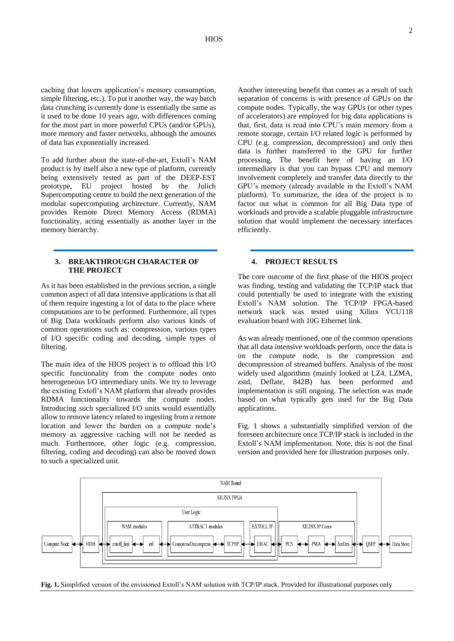caching that lowers application's memory consumption, simple filtering, etc.). To put it another way, the way batch data crunching is currently done is essentially the same as it used to be done 10 years ago, with differences coming for the most part in more powerful CPUs (and/or GPUs), more memory and faster networks, although the amounts of data has exponentially increased.

To add further about the state-of-the-art, Extoll's NAM product is by itself also a new type of platform, currently being extensively tested as part of the DEEP-EST prototype, EU project hosted by the Julich Supercomputing centre to build the next generation of the modular supercomputing architecture. Currently, NAM provides Remote Direct Memory Access (RDMA) functionality, acting essentially as another layer in the memory hierarchy.

## **3. BREAKTHROUGH CHARACTER OF THE PROJECT**

As it has been established in the previous section, a single common aspect of all data intensive applications is that all of them require ingesting a lot of data to the place where computations are to be performed. Furthermore, all types of Big Data workloads perform also various kinds of common operations such as: compression, various types of I/O specific coding and decoding, simple types of filtering.

The main idea of the HIOS project is to offload this I/O specific functionality from the compute nodes onto heterogeneous I/O intermediary units. We try to leverage the existing Extoll's NAM platform that already provides RDMA functionality towards the compute nodes. Introducing such specialized I/O units would essentially allow to remove latency related to ingesting from a remote location and lower the burden on a compute node's memory as aggressive caching will not be needed as much. Furthermore, other logic (e.g. compression, filtering, coding and decoding) can also be moved down to such a specialized unit.

Another interesting benefit that comes as a result of such separation of concerns is with presence of GPUs on the compute nodes. Typically, the way GPUs (or other types of accelerators) are employed for big data applications is that, first, data is read into CPU's main memory from a remote storage, certain I/O related logic is performed by CPU (e.g. compression, decompression) and only then data is further transferred to the GPU for further processing. The benefit here of having an I/O intermediary is that you can bypass CPU and memory involvement completely and transfer data directly to the GPU's memory (already available in the Extoll's NAM platform). To summarize, the idea of the project is to factor out what is common for all Big Data type of workloads and provide a scalable pluggable infrastructure solution that would implement the necessary interfaces efficiently.

## **4. PROJECT RESULTS**

The core outcome of the first phase of the HIOS project was finding, testing and validating the TCP/IP stack that could potentially be used to integrate with the existing Extoll's NAM solution. The TCP/IP FPGA-based network stack was tested using Xilinx VCU118 evaluation board with 10G Ethernet link.

As was already mentioned, one of the common operations that all data intensive workloads perform, once the data is on the compute node, is the compression and decompression of streamed buffers. Analysis of the most widely used algorithms (mainly looked at LZ4, LZMA, zstd, Deflate, 842B) has been performed and implementation is still ongoing. The selection was made based on what typically gets used for the Big Data applications.

Fig. 1 shows a substantially simplified version of the foreseen architecture once TCP/IP stack is included in the Extoll's NAM implementation. Note, this is not the final version and provided here for illustration purposes only.



**Fig. 1.** Simplified version of the envisioned Extoll's NAM solution with TCP/IP stack. Provided for illustrational purposes only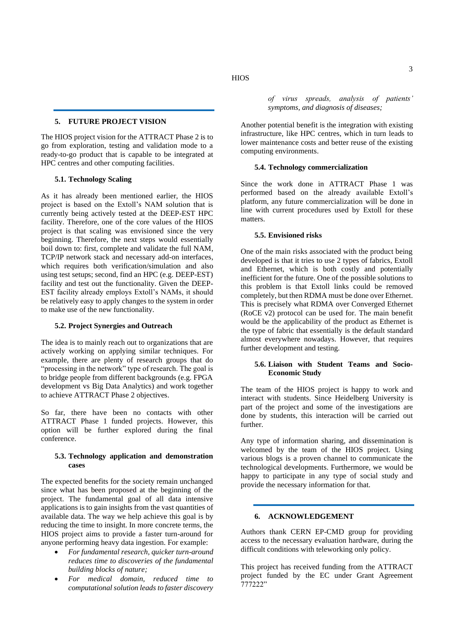## **5. FUTURE PROJECT VISION**

The HIOS project vision for the ATTRACT Phase 2 is to go from exploration, testing and validation mode to a ready-to-go product that is capable to be integrated at HPC centres and other computing facilities.

## **5.1. Technology Scaling**

As it has already been mentioned earlier, the HIOS project is based on the Extoll's NAM solution that is currently being actively tested at the DEEP-EST HPC facility. Therefore, one of the core values of the HIOS project is that scaling was envisioned since the very beginning. Therefore, the next steps would essentially boil down to: first, complete and validate the full NAM, TCP/IP network stack and necessary add-on interfaces, which requires both verification/simulation and also using test setups; second, find an HPC (e.g. DEEP-EST) facility and test out the functionality. Given the DEEP-EST facility already employs Extoll's NAMs, it should be relatively easy to apply changes to the system in order to make use of the new functionality.

#### **5.2. Project Synergies and Outreach**

The idea is to mainly reach out to organizations that are actively working on applying similar techniques. For example, there are plenty of research groups that do "processing in the network" type of research. The goal is to bridge people from different backgrounds (e.g. FPGA development vs Big Data Analytics) and work together to achieve ATTRACT Phase 2 objectives.

So far, there have been no contacts with other ATTRACT Phase 1 funded projects. However, this option will be further explored during the final conference.

## **5.3. Technology application and demonstration cases**

The expected benefits for the society remain unchanged since what has been proposed at the beginning of the project. The fundamental goal of all data intensive applications is to gain insights from the vast quantities of available data. The way we help achieve this goal is by reducing the time to insight. In more concrete terms, the HIOS project aims to provide a faster turn-around for anyone performing heavy data ingestion. For example:

- *For fundamental research, quicker turn-around reduces time to discoveries of the fundamental building blocks of nature;*
- *For medical domain, reduced time to computational solution leads to faster discovery*

*of virus spreads, analysis of patients' symptoms, and diagnosis of diseases;*

Another potential benefit is the integration with existing infrastructure, like HPC centres, which in turn leads to lower maintenance costs and better reuse of the existing computing environments.

## **5.4. Technology commercialization**

Since the work done in ATTRACT Phase 1 was performed based on the already available Extoll's platform, any future commercialization will be done in line with current procedures used by Extoll for these matters.

#### **5.5. Envisioned risks**

One of the main risks associated with the product being developed is that it tries to use 2 types of fabrics, Extoll and Ethernet, which is both costly and potentially inefficient for the future. One of the possible solutions to this problem is that Extoll links could be removed completely, but then RDMA must be done over Ethernet. This is precisely what RDMA over Converged Ethernet (RoCE v2) protocol can be used for. The main benefit would be the applicability of the product as Ethernet is the type of fabric that essentially is the default standard almost everywhere nowadays. However, that requires further development and testing.

## **5.6. Liaison with Student Teams and Socio-Economic Study**

The team of the HIOS project is happy to work and interact with students. Since Heidelberg University is part of the project and some of the investigations are done by students, this interaction will be carried out further.

Any type of information sharing, and dissemination is welcomed by the team of the HIOS project. Using various blogs is a proven channel to communicate the technological developments. Furthermore, we would be happy to participate in any type of social study and provide the necessary information for that.

## **6. ACKNOWLEDGEMENT**

Authors thank CERN EP-CMD group for providing access to the necessary evaluation hardware, during the difficult conditions with teleworking only policy.

This project has received funding from the ATTRACT project funded by the EC under Grant Agreement 777222"